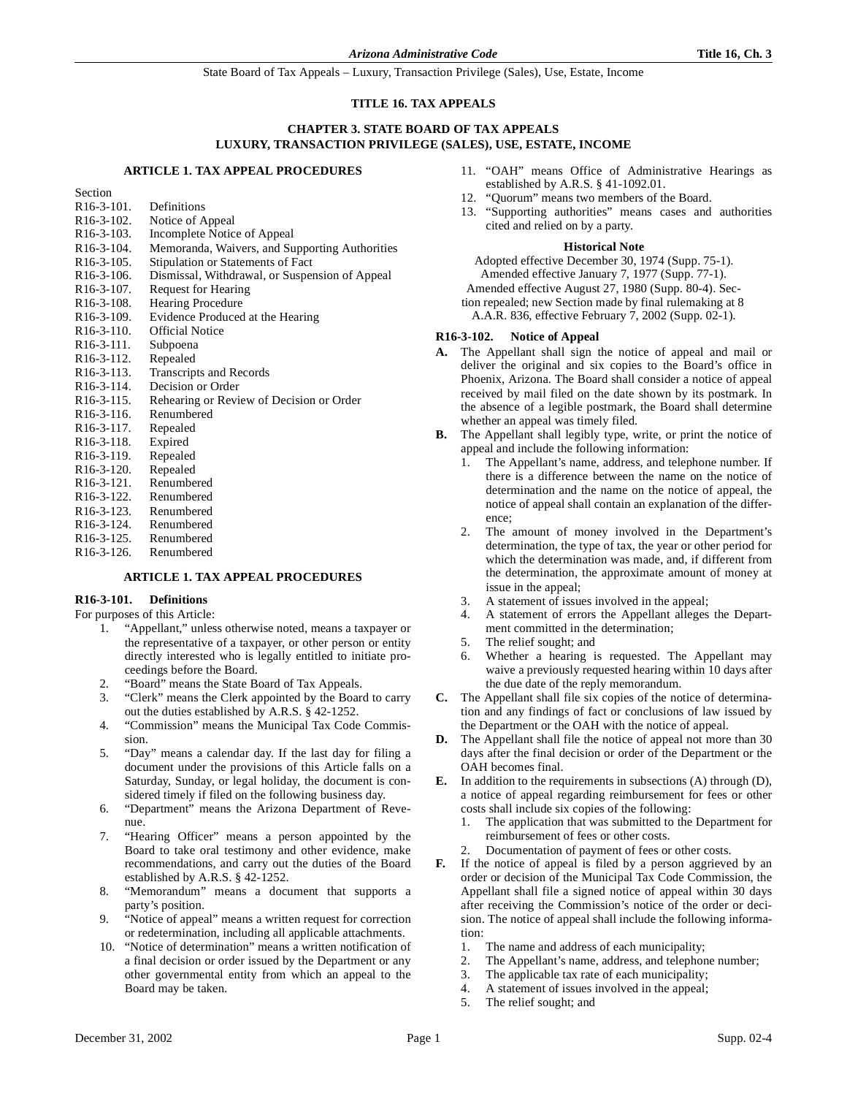#### **TITLE 16. TAX APPEALS**

#### **CHAPTER 3. STATE BOARD OF TAX APPEALS LUXURY, TRANSACTION PRIVILEGE (SALES), USE, ESTATE, INCOME**

#### **ARTICLE 1. TAX APPEAL PROCEDURES**

Section

| $R16-3-101.$            | Definitions                                    |
|-------------------------|------------------------------------------------|
| $R16-3-102$ .           | Notice of Appeal                               |
| R <sub>16</sub> -3-103. | Incomplete Notice of Appeal                    |
| $R16-3-104$ .           | Memoranda, Waivers, and Supporting Authorities |
| $R16-3-105$ .           | Stipulation or Statements of Fact              |
| $R16-3-106$ .           | Dismissal, Withdrawal, or Suspension of Appeal |
| R <sub>16</sub> -3-107. | <b>Request for Hearing</b>                     |
| R <sub>16</sub> -3-108. | <b>Hearing Procedure</b>                       |
| R <sub>16</sub> -3-109. | Evidence Produced at the Hearing               |
| R <sub>16</sub> -3-110. | <b>Official Notice</b>                         |
| $R16-3-111.$            | Subpoena                                       |
| R <sub>16</sub> -3-112. | Repealed                                       |
| R <sub>16</sub> -3-113. | <b>Transcripts and Records</b>                 |
| R <sub>16</sub> -3-114. | Decision or Order                              |
| R <sub>16</sub> -3-115. | Rehearing or Review of Decision or Order       |
| R <sub>16</sub> -3-116. | Renumbered                                     |
| R <sub>16</sub> -3-117. | Repealed                                       |
| R <sub>16</sub> -3-118. | Expired                                        |
| R <sub>16</sub> -3-119. | Repealed                                       |
| R <sub>16</sub> -3-120. | Repealed                                       |
| $R16-3-121.$            | Renumbered                                     |
| R <sub>16</sub> -3-122. | Renumbered                                     |
| R <sub>16</sub> -3-123. | Renumbered                                     |
| R <sub>16</sub> -3-124. | Renumbered                                     |
| R <sub>16</sub> -3-125. | Renumbered                                     |
| R <sub>16</sub> -3-126. | Renumbered                                     |
|                         |                                                |

# **ARTICLE 1. TAX APPEAL PROCEDURES**

# **R16-3-101. Definitions**

For purposes of this Article:

- 1. "Appellant," unless otherwise noted, means a taxpayer or the representative of a taxpayer, or other person or entity directly interested who is legally entitled to initiate proceedings before the Board.
- 2. "Board" means the State Board of Tax Appeals.
- 3. "Clerk" means the Clerk appointed by the Board to carry out the duties established by A.R.S. § 42-1252.
- 4. "Commission" means the Municipal Tax Code Commission.
- 5. "Day" means a calendar day. If the last day for filing a document under the provisions of this Article falls on a Saturday, Sunday, or legal holiday, the document is considered timely if filed on the following business day.
- 6. "Department" means the Arizona Department of Revenue.
- 7. "Hearing Officer" means a person appointed by the Board to take oral testimony and other evidence, make recommendations, and carry out the duties of the Board established by A.R.S. § 42-1252.
- 8. "Memorandum" means a document that supports a party's position.
- 9. "Notice of appeal" means a written request for correction or redetermination, including all applicable attachments.
- 10. "Notice of determination" means a written notification of a final decision or order issued by the Department or any other governmental entity from which an appeal to the Board may be taken.
- 11. "OAH" means Office of Administrative Hearings as established by A.R.S. § 41-1092.01.
- "Quorum" means two members of the Board.
- 13. "Supporting authorities" means cases and authorities cited and relied on by a party.

#### **Historical Note**

Adopted effective December 30, 1974 (Supp. 75-1). Amended effective January 7, 1977 (Supp. 77-1). Amended effective August 27, 1980 (Supp. 80-4). Section repealed; new Section made by final rulemaking at 8

A.A.R. 836, effective February 7, 2002 (Supp. 02-1).

#### **R16-3-102. Notice of Appeal**

- **A.** The Appellant shall sign the notice of appeal and mail or deliver the original and six copies to the Board's office in Phoenix, Arizona. The Board shall consider a notice of appeal received by mail filed on the date shown by its postmark. In the absence of a legible postmark, the Board shall determine whether an appeal was timely filed.
- **B.** The Appellant shall legibly type, write, or print the notice of appeal and include the following information:
	- 1. The Appellant's name, address, and telephone number. If there is a difference between the name on the notice of determination and the name on the notice of appeal, the notice of appeal shall contain an explanation of the difference;
	- 2. The amount of money involved in the Department's determination, the type of tax, the year or other period for which the determination was made, and, if different from the determination, the approximate amount of money at issue in the appeal;
	- 3. A statement of issues involved in the appeal;
	- 4. A statement of errors the Appellant alleges the Department committed in the determination;
	- 5. The relief sought; and
	- 6. Whether a hearing is requested. The Appellant may waive a previously requested hearing within 10 days after the due date of the reply memorandum.
- **C.** The Appellant shall file six copies of the notice of determination and any findings of fact or conclusions of law issued by the Department or the OAH with the notice of appeal.
- **D.** The Appellant shall file the notice of appeal not more than 30 days after the final decision or order of the Department or the OAH becomes final.
- **E.** In addition to the requirements in subsections (A) through (D), a notice of appeal regarding reimbursement for fees or other costs shall include six copies of the following:
	- 1. The application that was submitted to the Department for reimbursement of fees or other costs.
	- 2. Documentation of payment of fees or other costs.
- **F.** If the notice of appeal is filed by a person aggrieved by an order or decision of the Municipal Tax Code Commission, the Appellant shall file a signed notice of appeal within 30 days after receiving the Commission's notice of the order or decision. The notice of appeal shall include the following information:
	- 1. The name and address of each municipality;
	- 2. The Appellant's name, address, and telephone number;
	- 3. The applicable tax rate of each municipality;
	- 4. A statement of issues involved in the appeal;
	- 5. The relief sought; and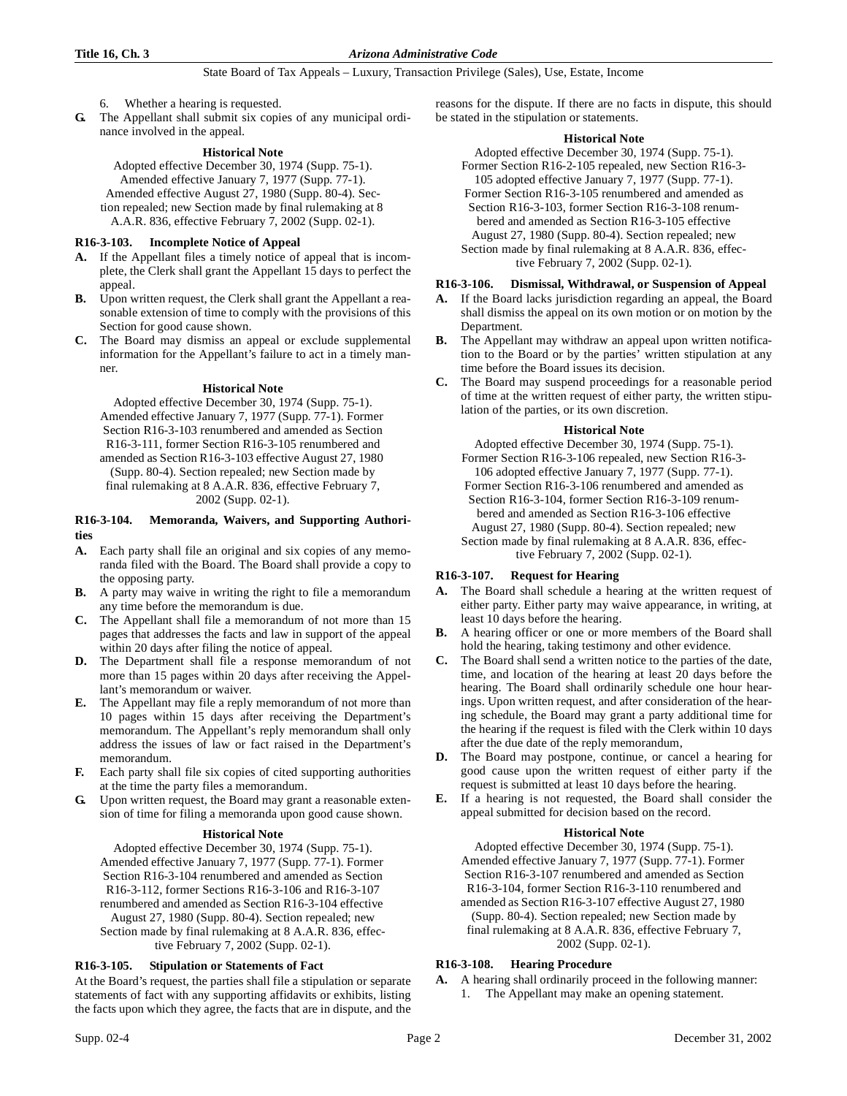- 6. Whether a hearing is requested.
- **G.** The Appellant shall submit six copies of any municipal ordinance involved in the appeal.

# **Historical Note**

Adopted effective December 30, 1974 (Supp. 75-1). Amended effective January 7, 1977 (Supp. 77-1). Amended effective August 27, 1980 (Supp. 80-4). Section repealed; new Section made by final rulemaking at 8 A.A.R. 836, effective February 7, 2002 (Supp. 02-1).

#### **R16-3-103. Incomplete Notice of Appeal**

- **A.** If the Appellant files a timely notice of appeal that is incomplete, the Clerk shall grant the Appellant 15 days to perfect the appeal.
- **B.** Upon written request, the Clerk shall grant the Appellant a reasonable extension of time to comply with the provisions of this Section for good cause shown.
- **C.** The Board may dismiss an appeal or exclude supplemental information for the Appellant's failure to act in a timely manner.

#### **Historical Note**

Adopted effective December 30, 1974 (Supp. 75-1). Amended effective January 7, 1977 (Supp. 77-1). Former Section R16-3-103 renumbered and amended as Section R16-3-111, former Section R16-3-105 renumbered and amended as Section R16-3-103 effective August 27, 1980 (Supp. 80-4). Section repealed; new Section made by final rulemaking at 8 A.A.R. 836, effective February 7, 2002 (Supp. 02-1).

#### **R16-3-104. Memoranda, Waivers, and Supporting Authorities**

- **A.** Each party shall file an original and six copies of any memoranda filed with the Board. The Board shall provide a copy to the opposing party.
- **B.** A party may waive in writing the right to file a memorandum any time before the memorandum is due.
- **C.** The Appellant shall file a memorandum of not more than 15 pages that addresses the facts and law in support of the appeal within 20 days after filing the notice of appeal.
- **D.** The Department shall file a response memorandum of not more than 15 pages within 20 days after receiving the Appellant's memorandum or waiver.
- **E.** The Appellant may file a reply memorandum of not more than 10 pages within 15 days after receiving the Department's memorandum. The Appellant's reply memorandum shall only address the issues of law or fact raised in the Department's memorandum.
- **F.** Each party shall file six copies of cited supporting authorities at the time the party files a memorandum.
- **G.** Upon written request, the Board may grant a reasonable extension of time for filing a memoranda upon good cause shown.

# **Historical Note**

Adopted effective December 30, 1974 (Supp. 75-1). Amended effective January 7, 1977 (Supp. 77-1). Former Section R16-3-104 renumbered and amended as Section R16-3-112, former Sections R16-3-106 and R16-3-107 renumbered and amended as Section R16-3-104 effective August 27, 1980 (Supp. 80-4). Section repealed; new Section made by final rulemaking at 8 A.A.R. 836, effective February 7, 2002 (Supp. 02-1).

# **R16-3-105. Stipulation or Statements of Fact**

At the Board's request, the parties shall file a stipulation or separate statements of fact with any supporting affidavits or exhibits, listing the facts upon which they agree, the facts that are in dispute, and the reasons for the dispute. If there are no facts in dispute, this should be stated in the stipulation or statements.

#### **Historical Note**

Adopted effective December 30, 1974 (Supp. 75-1). Former Section R16-2-105 repealed, new Section R16-3-

105 adopted effective January 7, 1977 (Supp. 77-1). Former Section R16-3-105 renumbered and amended as

Section R16-3-103, former Section R16-3-108 renumbered and amended as Section R16-3-105 effective August 27, 1980 (Supp. 80-4). Section repealed; new Section made by final rulemaking at 8 A.A.R. 836, effective February 7, 2002 (Supp. 02-1).

# **R16-3-106. Dismissal, Withdrawal, or Suspension of Appeal**

- **A.** If the Board lacks jurisdiction regarding an appeal, the Board shall dismiss the appeal on its own motion or on motion by the Department.
- **B.** The Appellant may withdraw an appeal upon written notification to the Board or by the parties' written stipulation at any time before the Board issues its decision.
- **C.** The Board may suspend proceedings for a reasonable period of time at the written request of either party, the written stipulation of the parties, or its own discretion.

#### **Historical Note**

Adopted effective December 30, 1974 (Supp. 75-1). Former Section R16-3-106 repealed, new Section R16-3- 106 adopted effective January 7, 1977 (Supp. 77-1). Former Section R16-3-106 renumbered and amended as Section R16-3-104, former Section R16-3-109 renumbered and amended as Section R16-3-106 effective August 27, 1980 (Supp. 80-4). Section repealed; new Section made by final rulemaking at 8 A.A.R. 836, effective February 7, 2002 (Supp. 02-1).

# **R16-3-107. Request for Hearing**

- **A.** The Board shall schedule a hearing at the written request of either party. Either party may waive appearance, in writing, at least 10 days before the hearing.
- **B.** A hearing officer or one or more members of the Board shall hold the hearing, taking testimony and other evidence.
- **C.** The Board shall send a written notice to the parties of the date, time, and location of the hearing at least 20 days before the hearing. The Board shall ordinarily schedule one hour hearings. Upon written request, and after consideration of the hearing schedule, the Board may grant a party additional time for the hearing if the request is filed with the Clerk within 10 days after the due date of the reply memorandum,
- **D.** The Board may postpone, continue, or cancel a hearing for good cause upon the written request of either party if the request is submitted at least 10 days before the hearing.
- **E.** If a hearing is not requested, the Board shall consider the appeal submitted for decision based on the record.

# **Historical Note**

Adopted effective December 30, 1974 (Supp. 75-1). Amended effective January 7, 1977 (Supp. 77-1). Former Section R16-3-107 renumbered and amended as Section R16-3-104, former Section R16-3-110 renumbered and amended as Section R16-3-107 effective August 27, 1980 (Supp. 80-4). Section repealed; new Section made by final rulemaking at 8 A.A.R. 836, effective February 7, 2002 (Supp. 02-1).

# **R16-3-108. Hearing Procedure**

**A.** A hearing shall ordinarily proceed in the following manner: 1. The Appellant may make an opening statement.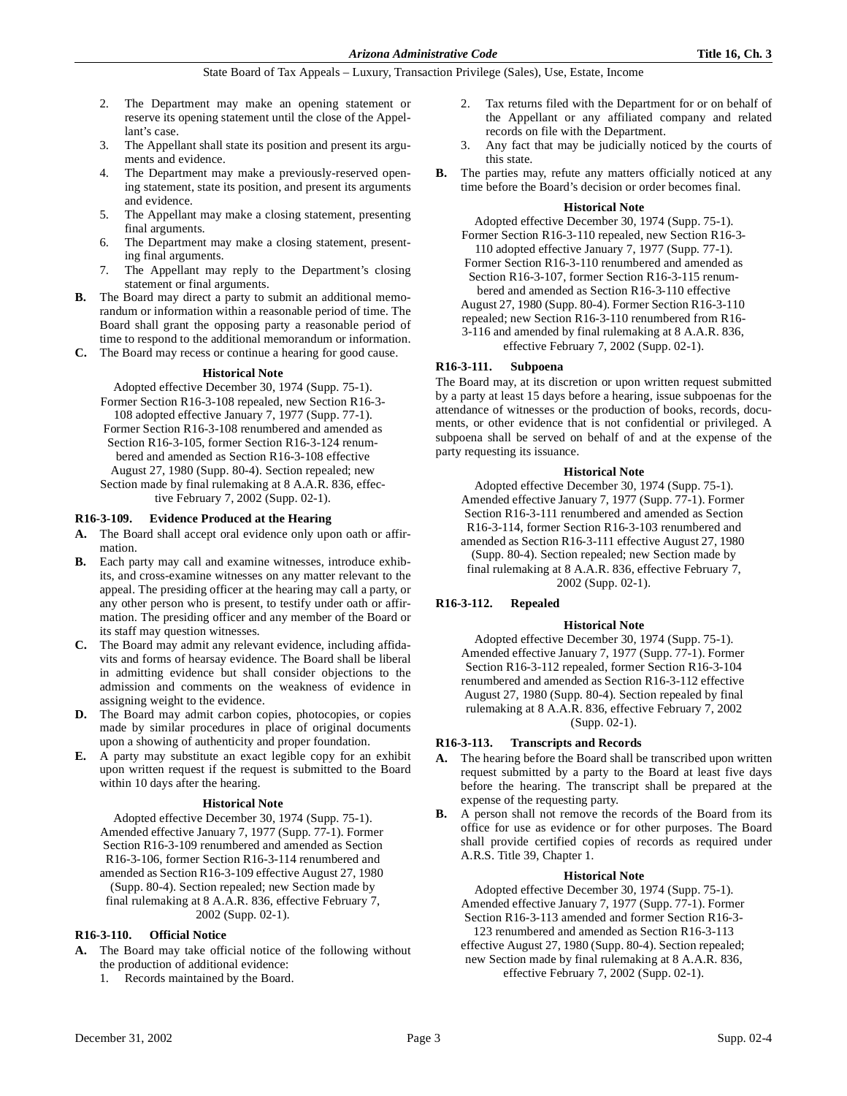- 2. The Department may make an opening statement or reserve its opening statement until the close of the Appellant's case.
- 3. The Appellant shall state its position and present its arguments and evidence.
- The Department may make a previously-reserved opening statement, state its position, and present its arguments and evidence.
- 5. The Appellant may make a closing statement, presenting final arguments.
- 6. The Department may make a closing statement, presenting final arguments.
- 7. The Appellant may reply to the Department's closing statement or final arguments.
- **B.** The Board may direct a party to submit an additional memorandum or information within a reasonable period of time. The Board shall grant the opposing party a reasonable period of time to respond to the additional memorandum or information.
- **C.** The Board may recess or continue a hearing for good cause.

#### **Historical Note**

Adopted effective December 30, 1974 (Supp. 75-1). Former Section R16-3-108 repealed, new Section R16-3- 108 adopted effective January 7, 1977 (Supp. 77-1). Former Section R16-3-108 renumbered and amended as Section R16-3-105, former Section R16-3-124 renumbered and amended as Section R16-3-108 effective August 27, 1980 (Supp. 80-4). Section repealed; new Section made by final rulemaking at 8 A.A.R. 836, effective February 7, 2002 (Supp. 02-1).

#### **R16-3-109. Evidence Produced at the Hearing**

- **A.** The Board shall accept oral evidence only upon oath or affirmation.
- **B.** Each party may call and examine witnesses, introduce exhibits, and cross-examine witnesses on any matter relevant to the appeal. The presiding officer at the hearing may call a party, or any other person who is present, to testify under oath or affirmation. The presiding officer and any member of the Board or its staff may question witnesses.
- **C.** The Board may admit any relevant evidence, including affidavits and forms of hearsay evidence. The Board shall be liberal in admitting evidence but shall consider objections to the admission and comments on the weakness of evidence in assigning weight to the evidence.
- **D.** The Board may admit carbon copies, photocopies, or copies made by similar procedures in place of original documents upon a showing of authenticity and proper foundation.
- **E.** A party may substitute an exact legible copy for an exhibit upon written request if the request is submitted to the Board within 10 days after the hearing.

#### **Historical Note**

Adopted effective December 30, 1974 (Supp. 75-1). Amended effective January 7, 1977 (Supp. 77-1). Former Section R16-3-109 renumbered and amended as Section R16-3-106, former Section R16-3-114 renumbered and amended as Section R16-3-109 effective August 27, 1980 (Supp. 80-4). Section repealed; new Section made by final rulemaking at 8 A.A.R. 836, effective February 7, 2002 (Supp. 02-1).

#### **R16-3-110. Official Notice**

- **A.** The Board may take official notice of the following without the production of additional evidence:
	- 1. Records maintained by the Board.
- 2. Tax returns filed with the Department for or on behalf of the Appellant or any affiliated company and related records on file with the Department.
- 3. Any fact that may be judicially noticed by the courts of this state.
- **B.** The parties may, refute any matters officially noticed at any time before the Board's decision or order becomes final.

#### **Historical Note**

Adopted effective December 30, 1974 (Supp. 75-1). Former Section R16-3-110 repealed, new Section R16-3-

110 adopted effective January 7, 1977 (Supp. 77-1). Former Section R16-3-110 renumbered and amended as

Section R16-3-107, former Section R16-3-115 renumbered and amended as Section R16-3-110 effective

August 27, 1980 (Supp. 80-4). Former Section R16-3-110

repealed; new Section R16-3-110 renumbered from R16-

3-116 and amended by final rulemaking at 8 A.A.R. 836, effective February 7, 2002 (Supp. 02-1).

#### **R16-3-111. Subpoena**

The Board may, at its discretion or upon written request submitted by a party at least 15 days before a hearing, issue subpoenas for the attendance of witnesses or the production of books, records, documents, or other evidence that is not confidential or privileged. A subpoena shall be served on behalf of and at the expense of the party requesting its issuance.

#### **Historical Note**

Adopted effective December 30, 1974 (Supp. 75-1). Amended effective January 7, 1977 (Supp. 77-1). Former Section R16-3-111 renumbered and amended as Section R16-3-114, former Section R16-3-103 renumbered and amended as Section R16-3-111 effective August 27, 1980 (Supp. 80-4). Section repealed; new Section made by final rulemaking at 8 A.A.R. 836, effective February 7, 2002 (Supp. 02-1).

# **R16-3-112. Repealed**

# **Historical Note**

Adopted effective December 30, 1974 (Supp. 75-1). Amended effective January 7, 1977 (Supp. 77-1). Former Section R16-3-112 repealed, former Section R16-3-104 renumbered and amended as Section R16-3-112 effective August 27, 1980 (Supp. 80-4). Section repealed by final rulemaking at 8 A.A.R. 836, effective February 7, 2002 (Supp. 02-1).

#### **R16-3-113. Transcripts and Records**

- **A.** The hearing before the Board shall be transcribed upon written request submitted by a party to the Board at least five days before the hearing. The transcript shall be prepared at the expense of the requesting party.
- **B.** A person shall not remove the records of the Board from its office for use as evidence or for other purposes. The Board shall provide certified copies of records as required under A.R.S. Title 39, Chapter 1.

#### **Historical Note**

Adopted effective December 30, 1974 (Supp. 75-1). Amended effective January 7, 1977 (Supp. 77-1). Former Section R16-3-113 amended and former Section R16-3-

123 renumbered and amended as Section R16-3-113 effective August 27, 1980 (Supp. 80-4). Section repealed;

new Section made by final rulemaking at 8 A.A.R. 836, effective February 7, 2002 (Supp. 02-1).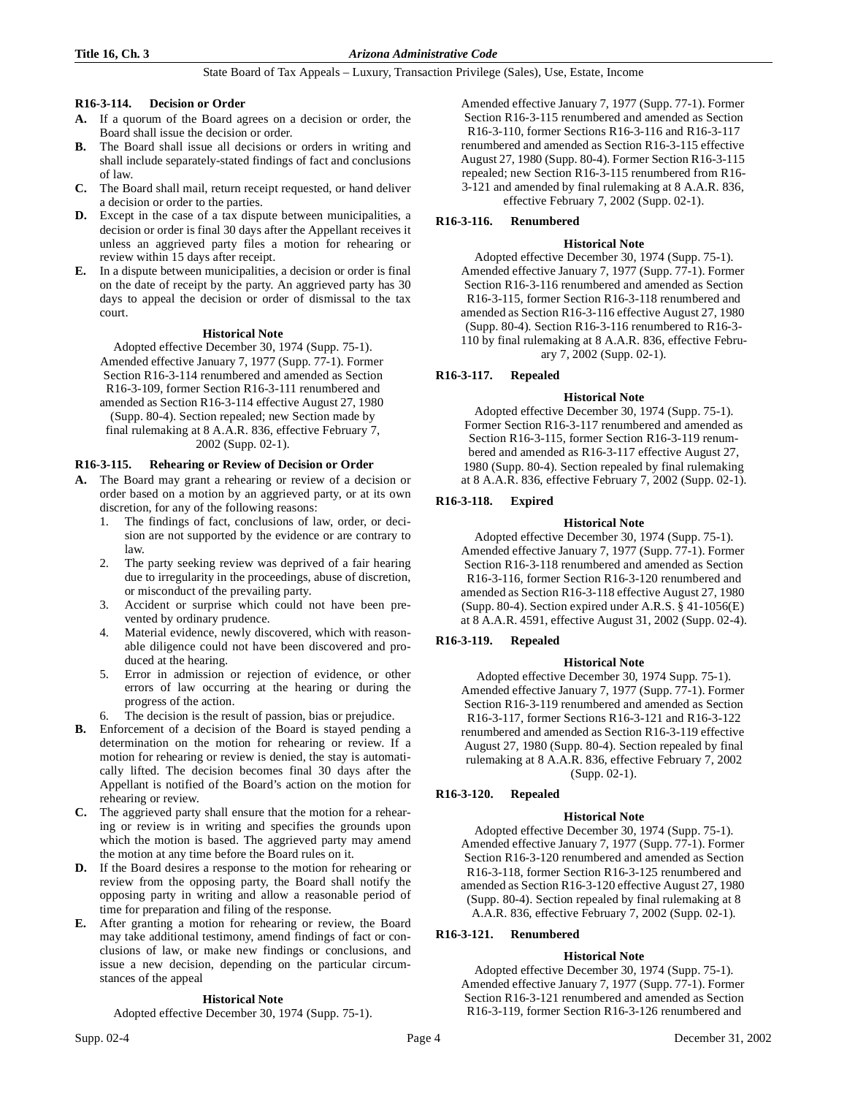#### **R16-3-114. Decision or Order**

- **A.** If a quorum of the Board agrees on a decision or order, the Board shall issue the decision or order.
- **B.** The Board shall issue all decisions or orders in writing and shall include separately-stated findings of fact and conclusions of law.
- **C.** The Board shall mail, return receipt requested, or hand deliver a decision or order to the parties.
- **D.** Except in the case of a tax dispute between municipalities, a decision or order is final 30 days after the Appellant receives it unless an aggrieved party files a motion for rehearing or review within 15 days after receipt.
- **E.** In a dispute between municipalities, a decision or order is final on the date of receipt by the party. An aggrieved party has 30 days to appeal the decision or order of dismissal to the tax court.

# **Historical Note**

Adopted effective December 30, 1974 (Supp. 75-1). Amended effective January 7, 1977 (Supp. 77-1). Former Section R16-3-114 renumbered and amended as Section R16-3-109, former Section R16-3-111 renumbered and amended as Section R16-3-114 effective August 27, 1980 (Supp. 80-4). Section repealed; new Section made by final rulemaking at 8 A.A.R. 836, effective February 7, 2002 (Supp. 02-1).

# **R16-3-115. Rehearing or Review of Decision or Order**

- **A.** The Board may grant a rehearing or review of a decision or order based on a motion by an aggrieved party, or at its own discretion, for any of the following reasons:
	- 1. The findings of fact, conclusions of law, order, or decision are not supported by the evidence or are contrary to law.
	- 2. The party seeking review was deprived of a fair hearing due to irregularity in the proceedings, abuse of discretion, or misconduct of the prevailing party.
	- 3. Accident or surprise which could not have been prevented by ordinary prudence.
	- 4. Material evidence, newly discovered, which with reasonable diligence could not have been discovered and produced at the hearing.
	- 5. Error in admission or rejection of evidence, or other errors of law occurring at the hearing or during the progress of the action.
	- The decision is the result of passion, bias or prejudice.
- **B.** Enforcement of a decision of the Board is stayed pending a determination on the motion for rehearing or review. If a motion for rehearing or review is denied, the stay is automatically lifted. The decision becomes final 30 days after the Appellant is notified of the Board's action on the motion for rehearing or review.
- **C.** The aggrieved party shall ensure that the motion for a rehearing or review is in writing and specifies the grounds upon which the motion is based. The aggrieved party may amend the motion at any time before the Board rules on it.
- **D.** If the Board desires a response to the motion for rehearing or review from the opposing party, the Board shall notify the opposing party in writing and allow a reasonable period of time for preparation and filing of the response.
- **E.** After granting a motion for rehearing or review, the Board may take additional testimony, amend findings of fact or conclusions of law, or make new findings or conclusions, and issue a new decision, depending on the particular circumstances of the appeal

# **Historical Note**

Adopted effective December 30, 1974 (Supp. 75-1).

# **R16-3-116. Renumbered**

#### **Historical Note**

Adopted effective December 30, 1974 (Supp. 75-1). Amended effective January 7, 1977 (Supp. 77-1). Former Section R16-3-116 renumbered and amended as Section R16-3-115, former Section R16-3-118 renumbered and amended as Section R16-3-116 effective August 27, 1980 (Supp. 80-4). Section R16-3-116 renumbered to R16-3- 110 by final rulemaking at 8 A.A.R. 836, effective February 7, 2002 (Supp. 02-1).

# **R16-3-117. Repealed**

# **Historical Note**

Adopted effective December 30, 1974 (Supp. 75-1). Former Section R16-3-117 renumbered and amended as Section R16-3-115, former Section R16-3-119 renumbered and amended as R16-3-117 effective August 27, 1980 (Supp. 80-4). Section repealed by final rulemaking at 8 A.A.R. 836, effective February 7, 2002 (Supp. 02-1).

# **R16-3-118. Expired**

#### **Historical Note**

Adopted effective December 30, 1974 (Supp. 75-1). Amended effective January 7, 1977 (Supp. 77-1). Former Section R16-3-118 renumbered and amended as Section R16-3-116, former Section R16-3-120 renumbered and amended as Section R16-3-118 effective August 27, 1980 (Supp. 80-4). Section expired under A.R.S. § 41-1056(E) at 8 A.A.R. 4591, effective August 31, 2002 (Supp. 02-4).

# **R16-3-119. Repealed**

# **Historical Note**

Adopted effective December 30, 1974 Supp. 75-1). Amended effective January 7, 1977 (Supp. 77-1). Former Section R16-3-119 renumbered and amended as Section R16-3-117, former Sections R16-3-121 and R16-3-122 renumbered and amended as Section R16-3-119 effective August 27, 1980 (Supp. 80-4). Section repealed by final rulemaking at 8 A.A.R. 836, effective February 7, 2002 (Supp. 02-1).

# **R16-3-120. Repealed**

# **Historical Note**

Adopted effective December 30, 1974 (Supp. 75-1). Amended effective January 7, 1977 (Supp. 77-1). Former Section R16-3-120 renumbered and amended as Section R16-3-118, former Section R16-3-125 renumbered and amended as Section R16-3-120 effective August 27, 1980 (Supp. 80-4). Section repealed by final rulemaking at 8 A.A.R. 836, effective February 7, 2002 (Supp. 02-1).

# **R16-3-121. Renumbered**

# **Historical Note**

Adopted effective December 30, 1974 (Supp. 75-1). Amended effective January 7, 1977 (Supp. 77-1). Former Section R16-3-121 renumbered and amended as Section R16-3-119, former Section R16-3-126 renumbered and